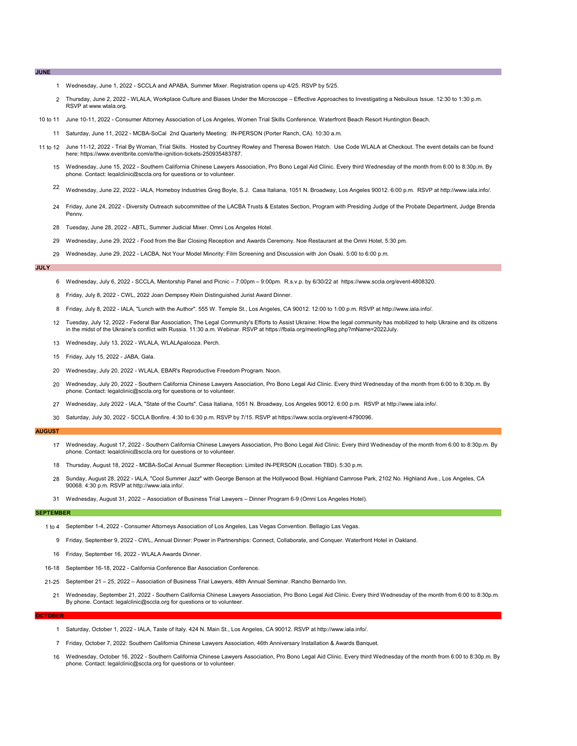- **JUNE**
- 1 Wednesday, June 1, 2022 SCCLA and APABA, Summer Mixer. Registration opens up 4/25. RSVP by 5/25.
- 2 Thursday, June 2, 2022 WLALA, Workplace Culture and Biases Under the Microscope Effective Approaches to Investigating a Nebulous Issue. 12:30 to 1:30 p.m. RSVP at www.wlala.org.
- 10 to 11 June 10-11, 2022 Consumer Attorney Association of Los Angeles, Women Trial Skills Conference. Waterfront Beach Resort Huntington Beach.
	- 11 Saturday, June 11, 2022 MCBA-SoCal 2nd Quarterly Meeting: IN-PERSON (Porter Ranch, CA). 10:30 a.m.
- 11 to 12 June 11-12, 2022 Trial By Woman, Trial Skills. Hosted by Courtney Rowley and Theresa Bowen Hatch. Use Code WLALA at Checkout. The event details can be found here: https://www.eventbrite.com/e/the-ignition-tickets-250935483787.
	- 15 Wednesday, June 15, 2022 Southern California Chinese Lawyers Association, Pro Bono Legal Aid Clinic. Every third Wednesday of the month from 6:00 to 8:30p.m. By phone. Contact: legalclinic@sccla.org for questions or to volunteer.
	- <sup>22</sup> Wednesday, June 22, 2022 IALA, Homeboy Industries Greg Boyle, S.J. Casa Italiana, 1051 N. Broadway, Los Angeles 90012. 6:00 p.m. RSVP at http://www.iala.info/.
	- 24 Friday, June 24, 2022 Diversity Outreach subcommittee of the LACBA Trusts & Estates Section, Program with Presiding Judge of the Probate Department, Judge Brenda Penny.
	- 28 Tuesday, June 28, 2022 ABTL, Summer Judicial Mixer. Omni Los Angeles Hotel.
	- 29 Wednesday, June 29, 2022 Food from the Bar Closing Reception and Awards Ceremony. Noe Restaurant at the Omni Hotel, 5:30 pm.
	- 29 Wednesday, June 29, 2022 LACBA, Not Your Model Minority: Film Screening and Discussion with Jon Osaki. 5:00 to 6:00 p.m.

### **JULY**

- 6 Wednesday, July 6, 2022 SCCLA, Mentorship Panel and Picnic 7:00pm 9:00pm. R.s.v.p. by 6/30/22 at https://www.sccla.org/event-4808320.
- 8 Friday, July 8, 2022 CWL, 2022 Joan Dempsey Klein Distinguished Jurist Award Dinner.
- 8 Friday, July 8, 2022 IALA, "Lunch with the Author". 555 W. Temple St., Los Angeles, CA 90012. 12:00 to 1:00 p.m. RSVP at http://www.iala.info/.
- 12 Tuesday, July 12, 2022 Federal Bar Association, The Legal Community's Efforts to Assist Ukraine: How the legal community has mobilized to help Ukraine and its citizens in the midst of the Ukraine's conflict with Russia. 11:30 a.m. Webinar. RSVP at https://fbala.org/meetingReg.php?mName=2022July.
- 13 Wednesday, July 13, 2022 WLALA, WLALApalooza. Perch.
- 15 Friday, July 15, 2022 JABA, Gala.
- 20 Wednesday, July 20, 2022 WLALA, EBAR's Reproductive Freedom Program. Noon.
- 20 Wednesday, July 20, 2022 Southern California Chinese Lawyers Association, Pro Bono Legal Aid Clinic. Every third Wednesday of the month from 6:00 to 8:30p.m. By phone. Contact: legalclinic@sccla.org for questions or to volunteer
- 27 Wednesday, July 2022 IALA, "State of the Courts". Casa Italiana, 1051 N. Broadway, Los Angeles 90012. 6:00 p.m. RSVP at http://www.iala.info/.
- 30 Saturday, July 30, 2022 SCCLA Bonfire. 4:30 to 6:30 p.m. RSVP by 7/15. RSVP at https://www.sccla.org/event-4790096.

## **AUGUST**

- 17 Wednesday, August 17, 2022 Southern California Chinese Lawyers Association, Pro Bono Legal Aid Clinic. Every third Wednesday of the month from 6:00 to 8:30p.m. By phone. Contact: legalclinic@sccla.org for questions or to volunteer.
- 18 Thursday, August 18, 2022 MCBA-SoCal Annual Summer Reception: Limited IN-PERSON (Location TBD). 5:30 p.m.
- 28 Sunday, August 28, 2022 IALA, "Cool Summer Jazz" with George Benson at the Hollywood Bowl. Highland Camrose Park, 2102 No. Highland Ave., Los Angeles, CA 90068. 4:30 p.m. RSVP at http://www.iala.info/.
- 31 Wednesday, August 31, 2022 Association of Business Trial Lawyers Dinner Program 6-9 (Omni Los Angeles Hotel).

### **SEPTEMBER**

- 1 to 4 September 1-4, 2022 Consumer Attorneys Association of Los Angeles, Las Vegas Convention. Bellagio Las Vegas.
	- 9 Friday, September 9, 2022 CWL, Annual Dinner: Power in Partnerships: Connect, Collaborate, and Conquer. Waterfront Hotel in Oakland.
	- 16 Friday, September 16, 2022 WLALA Awards Dinner.
- 16-18 September 16-18, 2022 California Conference Bar Association Conference.
- 21-25 September 21 25, 2022 Association of Business Trial Lawyers, 48th Annual Seminar. Rancho Bernardo Inn.
	- 21 Wednesday, September 21, 2022 Southern California Chinese Lawyers Association, Pro Bono Legal Aid Clinic. Every third Wednesday of the month from 6:00 to 8:30p.m. By phone. Contact: legalclinic@sccla.org for questions or to volunteer.

#### **OCTOBER**

- 1 Saturday, October 1, 2022 IALA, Taste of Italy. 424 N. Main St., Los Angeles, CA 90012. RSVP at http://www.iala.info/.
- 7 Friday, October 7, 2022: Southern California Chinese Lawyers Association, 46th Anniversary Installation & Awards Banquet.
- 16 Wednesday, October 16, 2022 Southern California Chinese Lawyers Association, Pro Bono Legal Aid Clinic. Every third Wednesday of the month from 6:00 to 8:30p.m. By phone. Contact: legalclinic@sccla.org for questions or to volunteer.